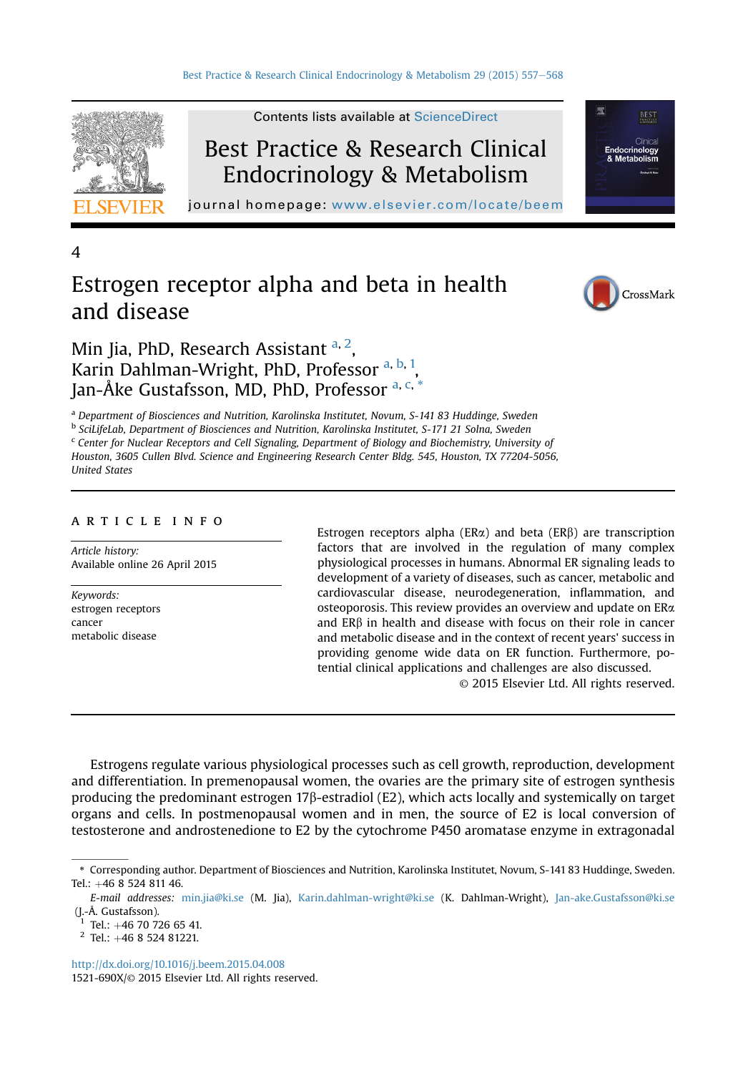

Best Practice & Research Clinical Endocrinology & Metabolism

Contents lists available at [ScienceDirect](www.sciencedirect.com/science/journal/1521690X)

journal homepage: [www.elsevier.com/locate/beem](http://www.elsevier.com/locate/beem)

4

# Estrogen receptor alpha and beta in health and disease



BEST

Min Jia, PhD, Research Assistant <sup>a, 2</sup>, Karin Dahlman-Wright, PhD, Professor a, b, 1, Jan-Åke Gustafsson, MD, PhD, Professor a, c, \*

<sup>a</sup> Department of Biosciences and Nutrition, Karolinska Institutet, Novum, S-141 83 Huddinge, Sweden

b SciLifeLab, Department of Biosciences and Nutrition, Karolinska Institutet, S-171 21 Solna, Sweden

<sup>c</sup> Center for Nuclear Receptors and Cell Signaling, Department of Biology and Biochemistry, University of Houston, 3605 Cullen Blvd. Science and Engineering Research Center Bldg. 545, Houston, TX 77204-5056, United States

## article info

Article history: Available online 26 April 2015

Keywords: estrogen receptors cancer metabolic disease

Estrogen receptors alpha ( $ER\alpha$ ) and beta ( $ER\beta$ ) are transcription factors that are involved in the regulation of many complex physiological processes in humans. Abnormal ER signaling leads to development of a variety of diseases, such as cancer, metabolic and cardiovascular disease, neurodegeneration, inflammation, and osteoporosis. This review provides an overview and update on ER $\alpha$  and ERB in health and disease with focus on their role in cancer and ERb in health and disease with focus on their role in cancer and metabolic disease and in the context of recent years' success in providing genome wide data on ER function. Furthermore, potential clinical applications and challenges are also discussed.

© 2015 Elsevier Ltd. All rights reserved.

Estrogens regulate various physiological processes such as cell growth, reproduction, development and differentiation. In premenopausal women, the ovaries are the primary site of estrogen synthesis producing the predominant estrogen 17 $\beta$ -estradiol (E2), which acts locally and systemically on target organs and cells. In postmenopausal women and in men, the source of E2 is local conversion of testosterone and androstenedione to E2 by the cytochrome P450 aromatase enzyme in extragonadal

<sup>\*</sup> Corresponding author. Department of Biosciences and Nutrition, Karolinska Institutet, Novum, S-141 83 Huddinge, Sweden. Tel.: +46 8 524 811 46.

E-mail addresses: [min.jia@ki.se](mailto:min.jia@ki.se) (M. Jia), [Karin.dahlman-wright@ki.se](mailto:Karin.dahlman-wright@ki.se) (K. Dahlman-Wright), [Jan-ake.Gustafsson@ki.se](mailto:Jan-ake.Gustafsson@ki.se) (J.-Å. Gustafsson).<br> $^{1}$  Tel.:  $+46$  70 726 65 41.

 $2$  Tel.:  $+46$  8 524 81221.

<http://dx.doi.org/10.1016/j.beem.2015.04.008> 1521-690X/© 2015 Elsevier Ltd. All rights reserved.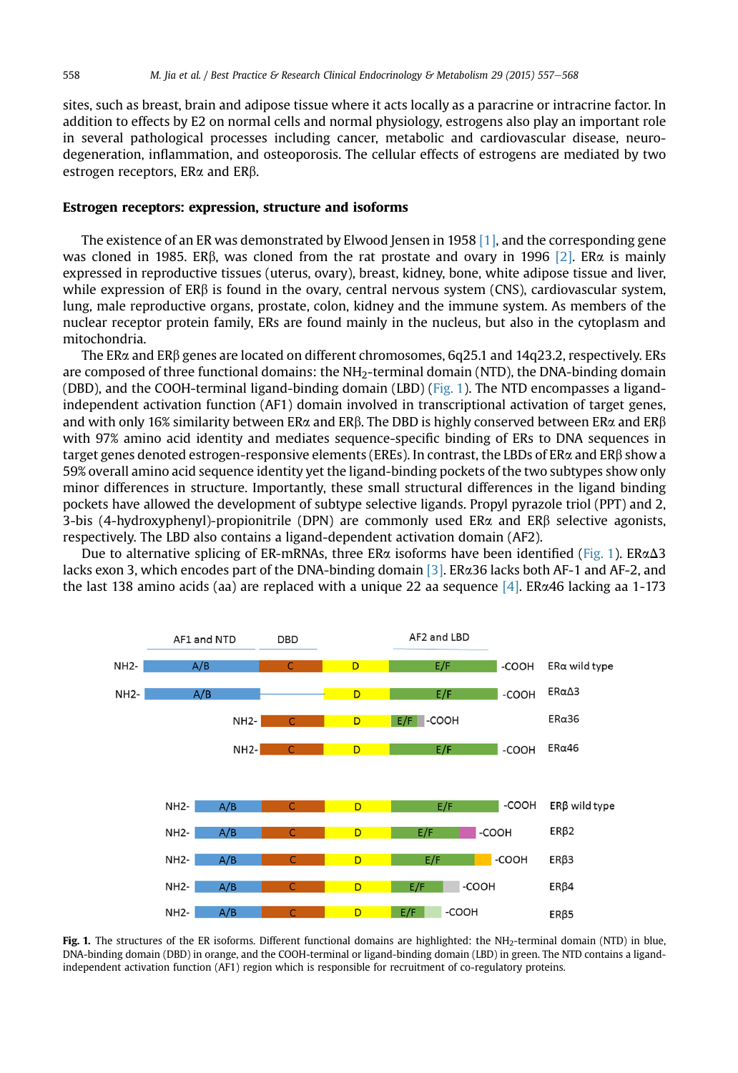<span id="page-1-0"></span>sites, such as breast, brain and adipose tissue where it acts locally as a paracrine or intracrine factor. In addition to effects by E2 on normal cells and normal physiology, estrogens also play an important role in several pathological processes including cancer, metabolic and cardiovascular disease, neurodegeneration, inflammation, and osteoporosis. The cellular effects of estrogens are mediated by two estrogen receptors, ERa and ERb.

## Estrogen receptors: expression, structure and isoforms

The existence of an ER was demonstrated by Elwood Jensen in 1958  $[1]$ , and the corresponding gene was cloned in 1985. ER $\beta$ , was cloned from the rat prostate and ovary in 1996 [\[2\].](#page-8-0) ER $\alpha$  is mainly expressed in reproductive tissues (uterus, ovary), breast, kidney, bone, white adipose tissue and liver, while expression of  $ER\beta$  is found in the ovary, central nervous system (CNS), cardiovascular system, lung, male reproductive organs, prostate, colon, kidney and the immune system. As members of the nuclear receptor protein family, ERs are found mainly in the nucleus, but also in the cytoplasm and mitochondria.

The ERa and ERb genes are located on different chromosomes, 6q25.1 and 14q23.2, respectively. ERs are composed of three functional domains: the NH<sub>2</sub>-terminal domain (NTD), the DNA-binding domain (DBD), and the COOH-terminal ligand-binding domain (LBD) (Fig. 1). The NTD encompasses a ligandindependent activation function (AF1) domain involved in transcriptional activation of target genes, and with only 16% similarity between ER $\alpha$  and ER $\beta$ . The DBD is highly conserved between ER $\alpha$  and ER $\beta$ with 97% amino acid identity and mediates sequence-specific binding of ERs to DNA sequences in target genes denoted estrogen-responsive elements (EREs). In contrast, the LBDs of ER $\alpha$  and ER $\beta$  show a 59% overall amino acid sequence identity yet the ligand-binding pockets of the two subtypes show only minor differences in structure. Importantly, these small structural differences in the ligand binding pockets have allowed the development of subtype selective ligands. Propyl pyrazole triol (PPT) and 2, 3-bis (4-hydroxyphenyl)-propionitrile (DPN) are commonly used  $ER\alpha$  and  $ER\beta$  selective agonists, respectively. The LBD also contains a ligand-dependent activation domain (AF2).

Due to alternative splicing of ER-mRNAs, three ER $\alpha$  isoforms have been identified (Fig. 1). ER $\alpha\Delta$ 3 lacks exon 3, which encodes part of the DNA-binding domain [\[3\]](#page-9-0). ER $\alpha$ 36 lacks both AF-1 and AF-2, and the last 138 amino acids (aa) are replaced with a unique 22 aa sequence [\[4\]](#page-9-0). ER $\alpha$ 46 lacking aa 1-173



Fig. 1. The structures of the ER isoforms. Different functional domains are highlighted: the NH<sub>2</sub>-terminal domain (NTD) in blue, DNA-binding domain (DBD) in orange, and the COOH-terminal or ligand-binding domain (LBD) in green. The NTD contains a ligandindependent activation function (AF1) region which is responsible for recruitment of co-regulatory proteins.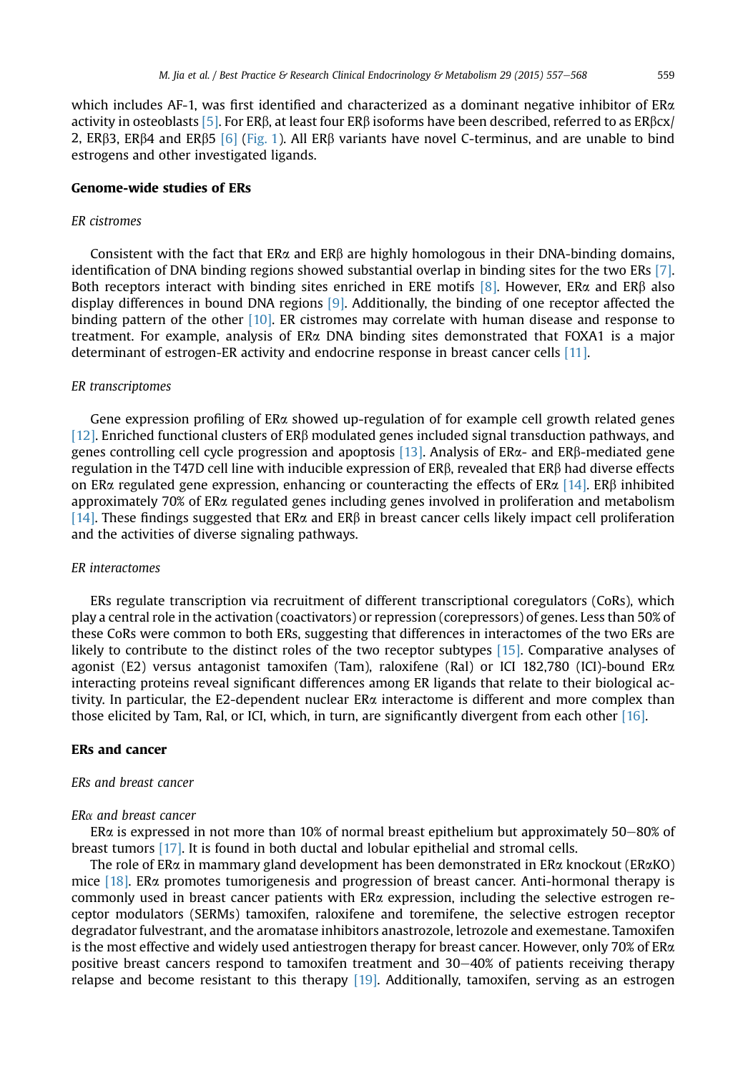which includes AF-1, was first identified and characterized as a dominant negative inhibitor of  $ER\alpha$ activity in osteoblasts [\[5\].](#page-9-0) For ER $\beta$ , at least four ER $\beta$  isoforms have been described, referred to as ER $\beta$ cx/ 2, ERB3, ERB4 and ERB5 [\[6\]](#page-9-0) ([Fig. 1\)](#page-1-0). All ERB variants have novel C-terminus, and are unable to bind estrogens and other investigated ligands.

# Genome-wide studies of ERs

#### ER cistromes

Consistent with the fact that  $ER\alpha$  and  $ER\beta$  are highly homologous in their DNA-binding domains, identification of DNA binding regions showed substantial overlap in binding sites for the two ERs [\[7\]](#page-9-0). Both receptors interact with binding sites enriched in ERE motifs [\[8\]](#page-9-0). However, ER $\alpha$  and ER $\beta$  also display differences in bound DNA regions [\[9\]](#page-9-0). Additionally, the binding of one receptor affected the binding pattern of the other [\[10\]](#page-9-0). ER cistromes may correlate with human disease and response to treatment. For example, analysis of ERa DNA binding sites demonstrated that FOXA1 is a major determinant of estrogen-ER activity and endocrine response in breast cancer cells [\[11\]](#page-9-0).

### ER transcriptomes

Gene expression profiling of  $ER\alpha$  showed up-regulation of for example cell growth related genes [\[12\]](#page-9-0). Enriched functional clusters of ER $\beta$  modulated genes included signal transduction pathways, and genes controlling cell cycle progression and apoptosis [\[13\]](#page-9-0). Analysis of ERa- and ERb-mediated gene regulation in the T47D cell line with inducible expression of  $ER\beta$ , revealed that  $ER\beta$  had diverse effects on ER $\alpha$  regulated gene expression, enhancing or counteracting the effects of ER $\alpha$  [\[14\].](#page-9-0) ER $\beta$  inhibited approximately 70% of ERa regulated genes including genes involved in proliferation and metabolism [\[14\]](#page-9-0). These findings suggested that ER $\alpha$  and ER $\beta$  in breast cancer cells likely impact cell proliferation and the activities of diverse signaling pathways.

#### ER interactomes

ERs regulate transcription via recruitment of different transcriptional coregulators (CoRs), which play a central role in the activation (coactivators) or repression (corepressors) of genes. Less than 50% of these CoRs were common to both ERs, suggesting that differences in interactomes of the two ERs are likely to contribute to the distinct roles of the two receptor subtypes [\[15\]](#page-9-0). Comparative analyses of agonist (E2) versus antagonist tamoxifen (Tam), raloxifene (Ral) or ICI 182,780 (ICI)-bound ERa interacting proteins reveal significant differences among ER ligands that relate to their biological activity. In particular, the E2-dependent nuclear ERa interactome is different and more complex than those elicited by Tam, Ral, or ICI, which, in turn, are significantly divergent from each other [\[16\]](#page-9-0).

## ERs and cancer

#### ERs and breast cancer

## $ER\alpha$  and breast cancer

ER $\alpha$  is expressed in not more than 10% of normal breast epithelium but approximately 50–80% of breast tumors [\[17\]](#page-9-0). It is found in both ductal and lobular epithelial and stromal cells.

The role of ER $\alpha$  in mammary gland development has been demonstrated in ER $\alpha$  knockout (ER $\alpha$ KO) mice [\[18\]](#page-9-0). ERa promotes tumorigenesis and progression of breast cancer. Anti-hormonal therapy is commonly used in breast cancer patients with ERa expression, including the selective estrogen receptor modulators (SERMs) tamoxifen, raloxifene and toremifene, the selective estrogen receptor degradator fulvestrant, and the aromatase inhibitors anastrozole, letrozole and exemestane. Tamoxifen is the most effective and widely used antiestrogen therapy for breast cancer. However, only 70% of ERa positive breast cancers respond to tamoxifen treatment and  $30-40\%$  of patients receiving therapy relapse and become resistant to this therapy [\[19\]](#page-9-0). Additionally, tamoxifen, serving as an estrogen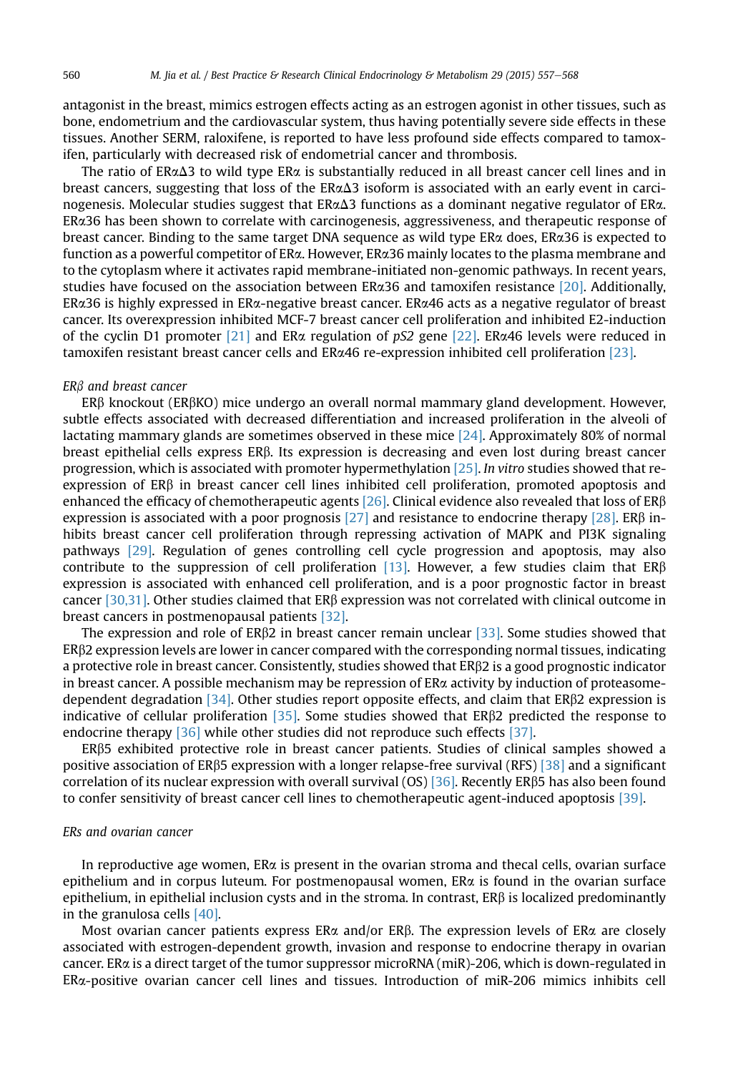antagonist in the breast, mimics estrogen effects acting as an estrogen agonist in other tissues, such as bone, endometrium and the cardiovascular system, thus having potentially severe side effects in these tissues. Another SERM, raloxifene, is reported to have less profound side effects compared to tamoxifen, particularly with decreased risk of endometrial cancer and thrombosis.

The ratio of  $ER\alpha\Delta3$  to wild type ER $\alpha$  is substantially reduced in all breast cancer cell lines and in breast cancers, suggesting that loss of the  $ER\alpha\Delta3$  isoform is associated with an early event in carcinogenesis. Molecular studies suggest that  $ER\alpha\Delta3$  functions as a dominant negative regulator of ER $\alpha$ . ERa36 has been shown to correlate with carcinogenesis, aggressiveness, and therapeutic response of breast cancer. Binding to the same target DNA sequence as wild type ERa does, ERa36 is expected to function as a powerful competitor of ERa. However, ERa36 mainly locates to the plasma membrane and to the cytoplasm where it activates rapid membrane-initiated non-genomic pathways. In recent years, studies have focused on the association between ER $\alpha$ 36 and tamoxifen resistance [\[20\]](#page-9-0). Additionally, ERa36 is highly expressed in ERa-negative breast cancer. ERa46 acts as a negative regulator of breast cancer. Its overexpression inhibited MCF-7 breast cancer cell proliferation and inhibited E2-induction of the cyclin D1 promoter [\[21\]](#page-9-0) and ER $\alpha$  regulation of pS2 gene [\[22\]](#page-9-0). ER $\alpha$ 46 levels were reduced in tamoxifen resistant breast cancer cells and ERa46 re-expression inhibited cell proliferation [\[23\].](#page-9-0)

#### ER<sub>B</sub> and breast cancer

ERb knockout (ERbKO) mice undergo an overall normal mammary gland development. However, subtle effects associated with decreased differentiation and increased proliferation in the alveoli of lactating mammary glands are sometimes observed in these mice [\[24\].](#page-9-0) Approximately 80% of normal breast epithelial cells express ER<sub>B</sub>. Its expression is decreasing and even lost during breast cancer progression, which is associated with promoter hypermethylation [\[25\]](#page-9-0). In vitro studies showed that reexpression of ERb in breast cancer cell lines inhibited cell proliferation, promoted apoptosis and enhanced the efficacy of chemotherapeutic agents [\[26\]](#page-9-0). Clinical evidence also revealed that loss of  $ER\beta$ expression is associated with a poor prognosis [\[27\]](#page-9-0) and resistance to endocrine therapy [\[28\]](#page-9-0). ER $\beta$  inhibits breast cancer cell proliferation through repressing activation of MAPK and PI3K signaling pathways [\[29\]](#page-9-0). Regulation of genes controlling cell cycle progression and apoptosis, may also contribute to the suppression of cell proliferation [\[13\]](#page-9-0). However, a few studies claim that  $ER\beta$ expression is associated with enhanced cell proliferation, and is a poor prognostic factor in breast cancer [\[30,31\]](#page-9-0). Other studies claimed that  $ER\beta$  expression was not correlated with clinical outcome in breast cancers in postmenopausal patients [\[32\].](#page-9-0)

The expression and role of  $ER\beta2$  in breast cancer remain unclear [\[33\]](#page-9-0). Some studies showed that ERb2 expression levels are lower in cancer compared with the corresponding normal tissues, indicating a protective role in breast cancer. Consistently, studies showed that  $ER\beta2$  is a good prognostic indicator in breast cancer. A possible mechanism may be repression of  $ER\alpha$  activity by induction of proteasome-dependent degradation [\[34\]](#page-9-0). Other studies report opposite effects, and claim that  $ER\beta2$  expression is indicative of cellular proliferation [\[35\]](#page-9-0). Some studies showed that  $ER\beta2$  predicted the response to endocrine therapy [\[36\]](#page-9-0) while other studies did not reproduce such effects [\[37\]](#page-10-0).

ERb5 exhibited protective role in breast cancer patients. Studies of clinical samples showed a positive association of ER $\beta$ 5 expression with a longer relapse-free survival (RFS) [\[38\]](#page-10-0) and a significant correlation of its nuclear expression with overall survival  $(OS)$  [\[36\].](#page-9-0) Recently ER $\beta$ 5 has also been found to confer sensitivity of breast cancer cell lines to chemotherapeutic agent-induced apoptosis [\[39\].](#page-10-0)

## ERs and ovarian cancer

In reproductive age women,  $ER\alpha$  is present in the ovarian stroma and thecal cells, ovarian surface epithelium and in corpus luteum. For postmenopausal women, ERa is found in the ovarian surface epithelium, in epithelial inclusion cysts and in the stroma. In contrast,  $ER\beta$  is localized predominantly in the granulosa cells [\[40\]](#page-10-0).

Most ovarian cancer patients express  $ER\alpha$  and/or  $ER\beta$ . The expression levels of  $ER\alpha$  are closely associated with estrogen-dependent growth, invasion and response to endocrine therapy in ovarian cancer. ERa is a direct target of the tumor suppressor microRNA (miR)-206, which is down-regulated in ERa-positive ovarian cancer cell lines and tissues. Introduction of miR-206 mimics inhibits cell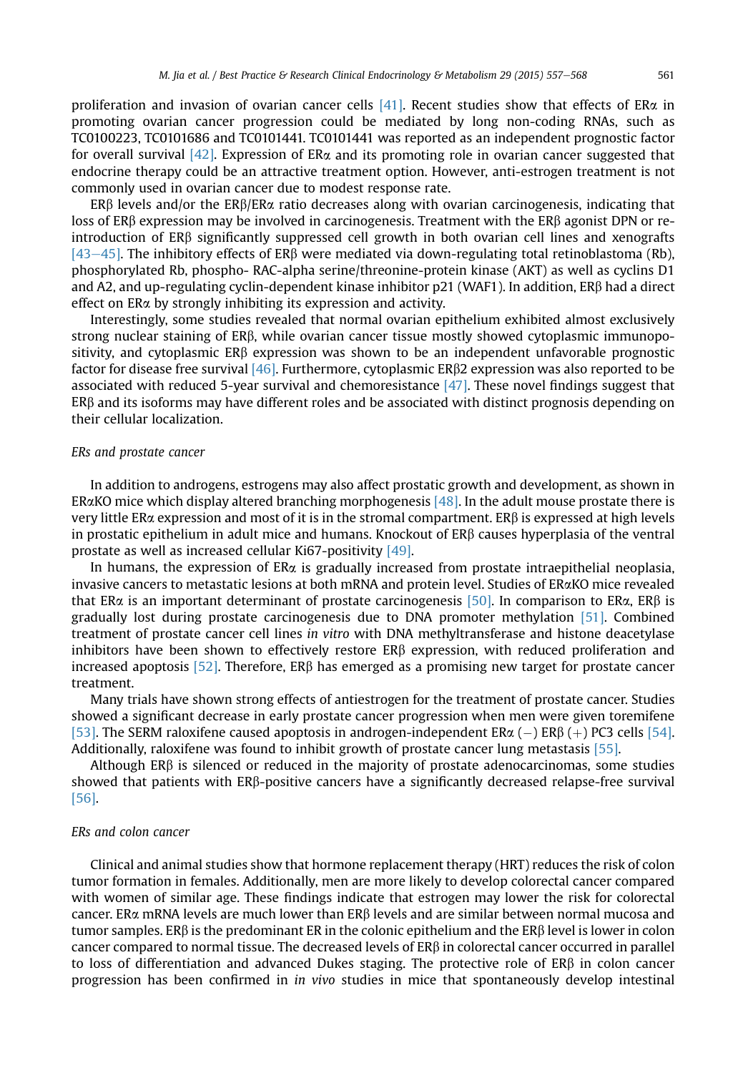proliferation and invasion of ovarian cancer cells [\[41\]](#page-10-0). Recent studies show that effects of ER $\alpha$  in promoting ovarian cancer progression could be mediated by long non-coding RNAs, such as TC0100223, TC0101686 and TC0101441. TC0101441 was reported as an independent prognostic factor for overall survival  $[42]$ . Expression of ER $\alpha$  and its promoting role in ovarian cancer suggested that endocrine therapy could be an attractive treatment option. However, anti-estrogen treatment is not commonly used in ovarian cancer due to modest response rate.

ERB levels and/or the ERB/ER $\alpha$  ratio decreases along with ovarian carcinogenesis, indicating that loss of ER $\beta$  expression may be involved in carcinogenesis. Treatment with the ER $\beta$  agonist DPN or reintroduction of ERb significantly suppressed cell growth in both ovarian cell lines and xenografts [\[43](#page-10-0)–[45\]](#page-10-0). The inhibitory effects of ER $\beta$  were mediated via down-regulating total retinoblastoma (Rb), phosphorylated Rb, phospho- RAC-alpha serine/threonine-protein kinase (AKT) as well as cyclins D1 and A2, and up-regulating cyclin-dependent kinase inhibitor  $p21$  (WAF1). In addition, ER $\beta$  had a direct effect on ERa by strongly inhibiting its expression and activity.

Interestingly, some studies revealed that normal ovarian epithelium exhibited almost exclusively strong nuclear staining of ER $\beta$ , while ovarian cancer tissue mostly showed cytoplasmic immunopositivity, and cytoplasmic  $ER\beta$  expression was shown to be an independent unfavorable prognostic factor for disease free survival  $[46]$ . Furthermore, cytoplasmic ER $\beta$ 2 expression was also reported to be associated with reduced 5-year survival and chemoresistance [\[47\]](#page-10-0). These novel findings suggest that ERb and its isoforms may have different roles and be associated with distinct prognosis depending on their cellular localization.

## ERs and prostate cancer

In addition to androgens, estrogens may also affect prostatic growth and development, as shown in ER $\alpha$ KO mice which display altered branching morphogenesis [\[48\].](#page-10-0) In the adult mouse prostate there is very little ER $\alpha$  expression and most of it is in the stromal compartment. ER $\beta$  is expressed at high levels in prostatic epithelium in adult mice and humans. Knockout of ERb causes hyperplasia of the ventral prostate as well as increased cellular Ki67-positivity [\[49\].](#page-10-0)

In humans, the expression of  $ER\alpha$  is gradually increased from prostate intraepithelial neoplasia, invasive cancers to metastatic lesions at both mRNA and protein level. Studies of ERaKO mice revealed that ER $\alpha$  is an important determinant of prostate carcinogenesis [\[50\].](#page-10-0) In comparison to ER $\alpha$ , ER $\beta$  is gradually lost during prostate carcinogenesis due to DNA promoter methylation [\[51\]](#page-10-0). Combined treatment of prostate cancer cell lines in vitro with DNA methyltransferase and histone deacetylase inhibitors have been shown to effectively restore ERB expression, with reduced proliferation and increased apoptosis [\[52\]](#page-10-0). Therefore,  $ER\beta$  has emerged as a promising new target for prostate cancer treatment.

Many trials have shown strong effects of antiestrogen for the treatment of prostate cancer. Studies showed a significant decrease in early prostate cancer progression when men were given toremifene [\[53\].](#page-10-0) The SERM raloxifene caused apoptosis in androgen-independent ER $\alpha$  (–) ER $\beta$  (+) PC3 cells [\[54\]](#page-10-0).<br>Additionally raloxifene was found to inhibit growth of prostate cancer lung metastasis [55] Additionally, raloxifene was found to inhibit growth of prostate cancer lung metastasis [\[55\]](#page-10-0).

Although  $ER\beta$  is silenced or reduced in the majority of prostate adenocarcinomas, some studies showed that patients with ERB-positive cancers have a significantly decreased relapse-free survival [\[56\].](#page-10-0)

# ERs and colon cancer

Clinical and animal studies show that hormone replacement therapy (HRT) reduces the risk of colon tumor formation in females. Additionally, men are more likely to develop colorectal cancer compared with women of similar age. These findings indicate that estrogen may lower the risk for colorectal cancer. ER $\alpha$  mRNA levels are much lower than ER $\beta$  levels and are similar between normal mucosa and tumor samples. ER $\beta$  is the predominant ER in the colonic epithelium and the ER $\beta$  level is lower in colon cancer compared to normal tissue. The decreased levels of  $ER\beta$  in colorectal cancer occurred in parallel to loss of differentiation and advanced Dukes staging. The protective role of  $ER\beta$  in colon cancer progression has been confirmed in in vivo studies in mice that spontaneously develop intestinal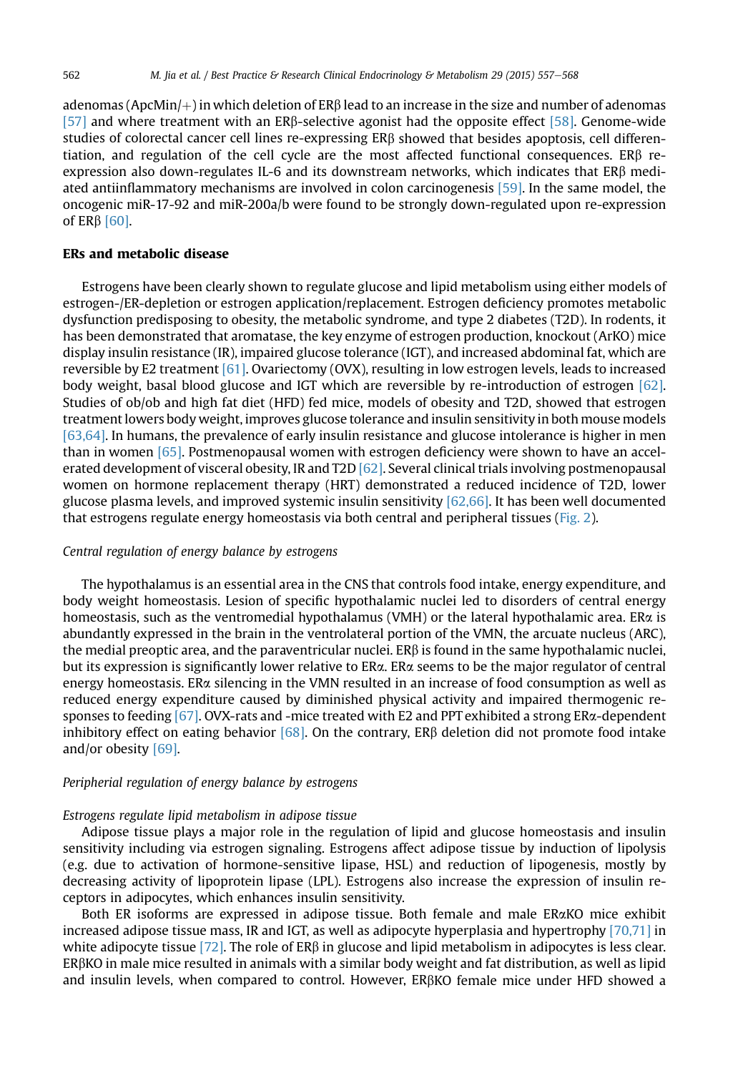adenomas (ApcMin/ $+$ ) in which deletion of ER $\beta$  lead to an increase in the size and number of adenomas [\[57\]](#page-10-0) and where treatment with an ERb-selective agonist had the opposite effect [\[58\].](#page-10-0) Genome-wide studies of colorectal cancer cell lines re-expressing ERb showed that besides apoptosis, cell differentiation, and regulation of the cell cycle are the most affected functional consequences. ER $\beta$  reexpression also down-regulates IL-6 and its downstream networks, which indicates that ERb mediated antiinflammatory mechanisms are involved in colon carcinogenesis [\[59\]](#page-10-0). In the same model, the oncogenic miR-17-92 and miR-200a/b were found to be strongly down-regulated upon re-expression of ER $\beta$  [\[60\].](#page-10-0)

## ERs and metabolic disease

Estrogens have been clearly shown to regulate glucose and lipid metabolism using either models of estrogen-/ER-depletion or estrogen application/replacement. Estrogen deficiency promotes metabolic dysfunction predisposing to obesity, the metabolic syndrome, and type 2 diabetes (T2D). In rodents, it has been demonstrated that aromatase, the key enzyme of estrogen production, knockout (ArKO) mice display insulin resistance (IR), impaired glucose tolerance (IGT), and increased abdominal fat, which are reversible by E2 treatment [\[61\].](#page-10-0) Ovariectomy (OVX), resulting in low estrogen levels, leads to increased body weight, basal blood glucose and IGT which are reversible by re-introduction of estrogen [\[62\]](#page-10-0). Studies of ob/ob and high fat diet (HFD) fed mice, models of obesity and T2D, showed that estrogen treatment lowers body weight, improves glucose tolerance and insulin sensitivity in both mouse models [\[63,64\].](#page-10-0) In humans, the prevalence of early insulin resistance and glucose intolerance is higher in men than in women [\[65\]](#page-10-0). Postmenopausal women with estrogen deficiency were shown to have an accelerated development of visceral obesity, IR and T2D [\[62\].](#page-10-0) Several clinical trials involving postmenopausal women on hormone replacement therapy (HRT) demonstrated a reduced incidence of T2D, lower glucose plasma levels, and improved systemic insulin sensitivity [\[62,66\].](#page-10-0) It has been well documented that estrogens regulate energy homeostasis via both central and peripheral tissues ([Fig. 2\)](#page-6-0).

## Central regulation of energy balance by estrogens

The hypothalamus is an essential area in the CNS that controls food intake, energy expenditure, and body weight homeostasis. Lesion of specific hypothalamic nuclei led to disorders of central energy homeostasis, such as the ventromedial hypothalamus (VMH) or the lateral hypothalamic area. ER $\alpha$  is abundantly expressed in the brain in the ventrolateral portion of the VMN, the arcuate nucleus (ARC), the medial preoptic area, and the paraventricular nuclei. ER $\beta$  is found in the same hypothalamic nuclei, but its expression is significantly lower relative to ERa. ERa seems to be the major regulator of central energy homeostasis. ER $\alpha$  silencing in the VMN resulted in an increase of food consumption as well as reduced energy expenditure caused by diminished physical activity and impaired thermogenic responses to feeding  $[67]$ . OVX-rats and -mice treated with E2 and PPT exhibited a strong ER $\alpha$ -dependent inhibitory effect on eating behavior [\[68\]](#page-10-0). On the contrary,  $ER\beta$  deletion did not promote food intake and/or obesity [\[69\]](#page-10-0).

# Peripherial regulation of energy balance by estrogens

#### Estrogens regulate lipid metabolism in adipose tissue

Adipose tissue plays a major role in the regulation of lipid and glucose homeostasis and insulin sensitivity including via estrogen signaling. Estrogens affect adipose tissue by induction of lipolysis (e.g. due to activation of hormone-sensitive lipase, HSL) and reduction of lipogenesis, mostly by decreasing activity of lipoprotein lipase (LPL). Estrogens also increase the expression of insulin receptors in adipocytes, which enhances insulin sensitivity.

Both ER isoforms are expressed in adipose tissue. Both female and male ERaKO mice exhibit increased adipose tissue mass, IR and IGT, as well as adipocyte hyperplasia and hypertrophy [\[70,71\]](#page-10-0) in white adipocyte tissue [\[72\].](#page-11-0) The role of  $ER\beta$  in glucose and lipid metabolism in adipocytes is less clear.  $ER\beta KO$  in male mice resulted in animals with a similar body weight and fat distribution, as well as lipid and insulin levels, when compared to control. However, ERbKO female mice under HFD showed a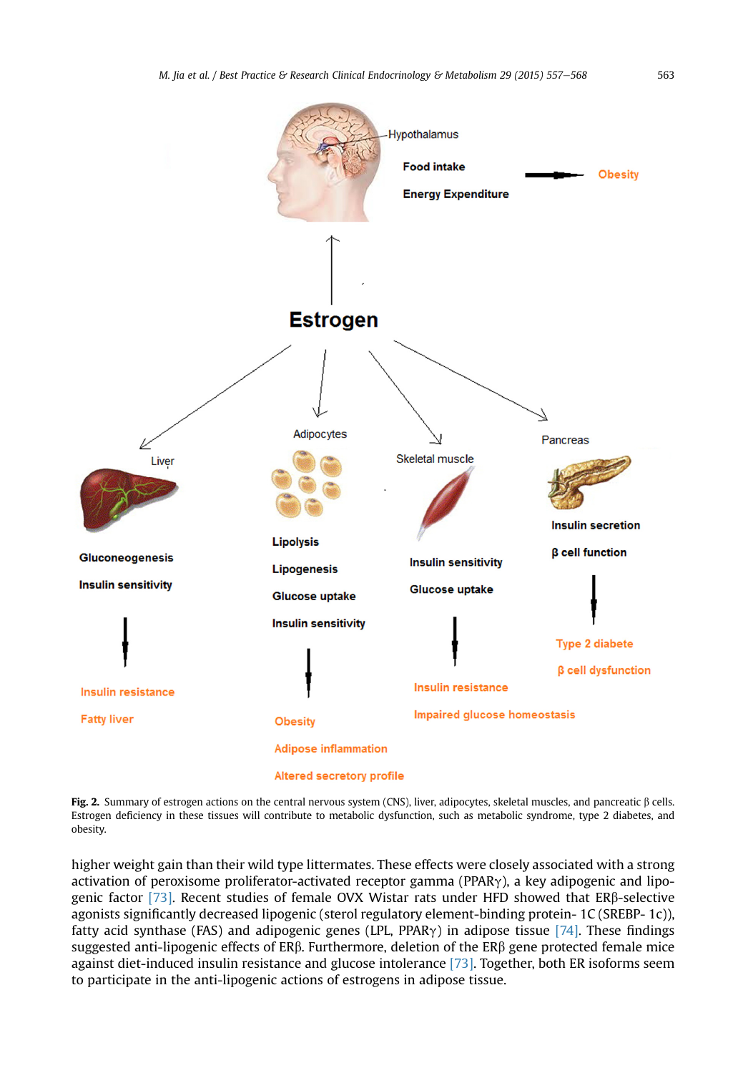<span id="page-6-0"></span>

Fig. 2. Summary of estrogen actions on the central nervous system (CNS), liver, adipocytes, skeletal muscles, and pancreatic  $\beta$  cells. Estrogen deficiency in these tissues will contribute to metabolic dysfunction, such as metabolic syndrome, type 2 diabetes, and obesity.

higher weight gain than their wild type littermates. These effects were closely associated with a strong activation of peroxisome proliferator-activated receptor gamma (PPAR $\gamma$ ), a key adipogenic and lipogenic factor [\[73\]](#page-11-0). Recent studies of female OVX Wistar rats under HFD showed that ERb-selective agonists significantly decreased lipogenic (sterol regulatory element-binding protein- 1C (SREBP- 1c)), fatty acid synthase (FAS) and adipogenic genes (LPL, PPAR $\gamma$ ) in adipose tissue [\[74\].](#page-11-0) These findings suggested anti-lipogenic effects of ERb. Furthermore, deletion of the ERb gene protected female mice against diet-induced insulin resistance and glucose intolerance [\[73\]](#page-11-0). Together, both ER isoforms seem to participate in the anti-lipogenic actions of estrogens in adipose tissue.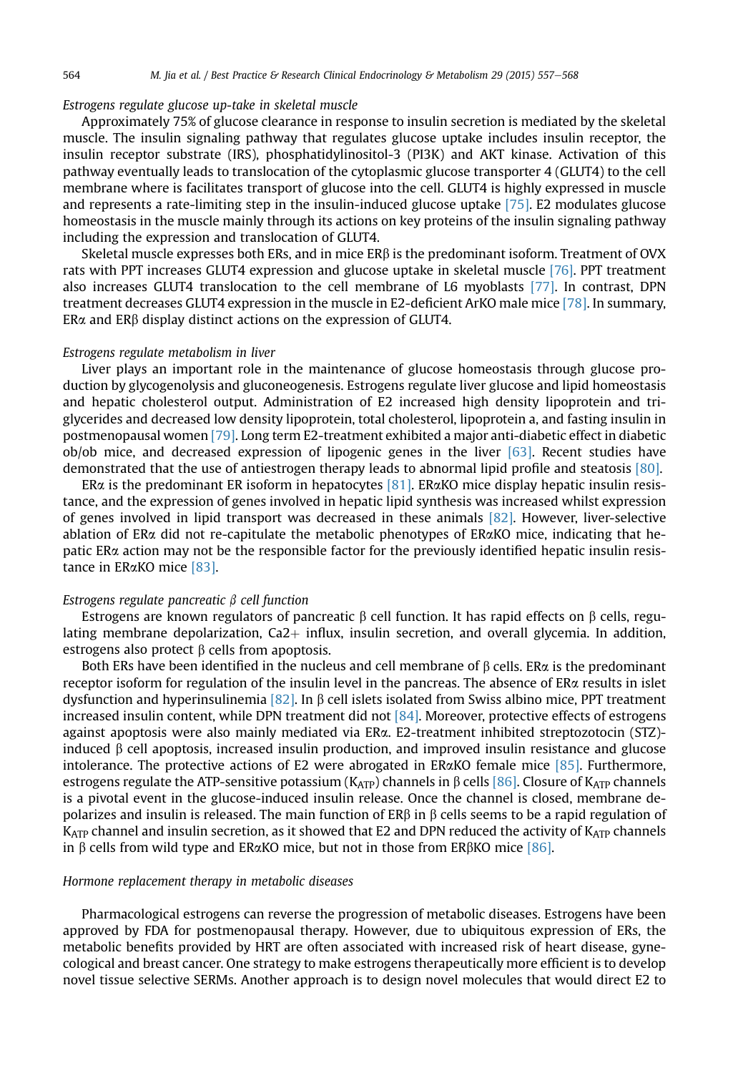## Estrogens regulate glucose up-take in skeletal muscle

Approximately 75% of glucose clearance in response to insulin secretion is mediated by the skeletal muscle. The insulin signaling pathway that regulates glucose uptake includes insulin receptor, the insulin receptor substrate (IRS), phosphatidylinositol-3 (PI3K) and AKT kinase. Activation of this pathway eventually leads to translocation of the cytoplasmic glucose transporter 4 (GLUT4) to the cell membrane where is facilitates transport of glucose into the cell. GLUT4 is highly expressed in muscle and represents a rate-limiting step in the insulin-induced glucose uptake [\[75\].](#page-11-0) E2 modulates glucose homeostasis in the muscle mainly through its actions on key proteins of the insulin signaling pathway including the expression and translocation of GLUT4.

Skeletal muscle expresses both ERs, and in mice  $ER\beta$  is the predominant isoform. Treatment of OVX rats with PPT increases GLUT4 expression and glucose uptake in skeletal muscle [\[76\].](#page-11-0) PPT treatment also increases GLUT4 translocation to the cell membrane of L6 myoblasts [\[77\].](#page-11-0) In contrast, DPN treatment decreases GLUT4 expression in the muscle in E2-deficient ArKO male mice [\[78\]](#page-11-0). In summary,  $ER\alpha$  and  $ER\beta$  display distinct actions on the expression of GLUT4.

## Estrogens regulate metabolism in liver

Liver plays an important role in the maintenance of glucose homeostasis through glucose production by glycogenolysis and gluconeogenesis. Estrogens regulate liver glucose and lipid homeostasis and hepatic cholesterol output. Administration of E2 increased high density lipoprotein and triglycerides and decreased low density lipoprotein, total cholesterol, lipoprotein a, and fasting insulin in postmenopausal women [\[79\]](#page-11-0). Long term E2-treatment exhibited a major anti-diabetic effect in diabetic  $obj$ ob mice, and decreased expression of lipogenic genes in the liver  $[63]$ . Recent studies have demonstrated that the use of antiestrogen therapy leads to abnormal lipid profile and steatosis [\[80\]](#page-11-0).

ER $\alpha$  is the predominant ER isoform in hepatocytes [\[81\].](#page-11-0) ER $\alpha$ KO mice display hepatic insulin resistance, and the expression of genes involved in hepatic lipid synthesis was increased whilst expression of genes involved in lipid transport was decreased in these animals [\[82\]](#page-11-0). However, liver-selective ablation of ER $\alpha$  did not re-capitulate the metabolic phenotypes of ER $\alpha$ KO mice, indicating that hepatic ERa action may not be the responsible factor for the previously identified hepatic insulin resistance in ERaKO mice [\[83\].](#page-11-0)

#### Estrogens regulate pancreatic  $\beta$  cell function

Estrogens are known regulators of pancreatic  $\beta$  cell function. It has rapid effects on  $\beta$  cells, regulating membrane depolarization,  $Ca2+$  influx, insulin secretion, and overall glycemia. In addition, estrogens also protect  $\beta$  cells from apoptosis.

Both ERs have been identified in the nucleus and cell membrane of  $\beta$  cells. ER $\alpha$  is the predominant receptor isoform for regulation of the insulin level in the pancreas. The absence of ER $\alpha$  results in islet dysfunction and hyperinsulinemia [\[82\].](#page-11-0) In  $\beta$  cell islets isolated from Swiss albino mice, PPT treatment increased insulin content, while DPN treatment did not [\[84\].](#page-11-0) Moreover, protective effects of estrogens against apoptosis were also mainly mediated via ERa. E2-treatment inhibited streptozotocin (STZ) induced  $\beta$  cell apoptosis, increased insulin production, and improved insulin resistance and glucose intolerance. The protective actions of E2 were abrogated in ER $\alpha$ KO female mice [\[85\]](#page-11-0). Furthermore, estrogens regulate the ATP-sensitive potassium ( $K_{ATP}$ ) channels in  $\beta$  cells [\[86\].](#page-11-0) Closure of  $K_{ATP}$  channels is a pivotal event in the glucose-induced insulin release. Once the channel is closed, membrane depolarizes and insulin is released. The main function of  $ER\beta$  in  $\beta$  cells seems to be a rapid regulation of  $K_{ATP}$  channel and insulin secretion, as it showed that E2 and DPN reduced the activity of  $K_{ATP}$  channels in  $\beta$  cells from wild type and ER $\alpha$ KO mice, but not in those from ER $\beta$ KO mice [\[86\].](#page-11-0)

## Hormone replacement therapy in metabolic diseases

Pharmacological estrogens can reverse the progression of metabolic diseases. Estrogens have been approved by FDA for postmenopausal therapy. However, due to ubiquitous expression of ERs, the metabolic benefits provided by HRT are often associated with increased risk of heart disease, gynecological and breast cancer. One strategy to make estrogens therapeutically more efficient is to develop novel tissue selective SERMs. Another approach is to design novel molecules that would direct E2 to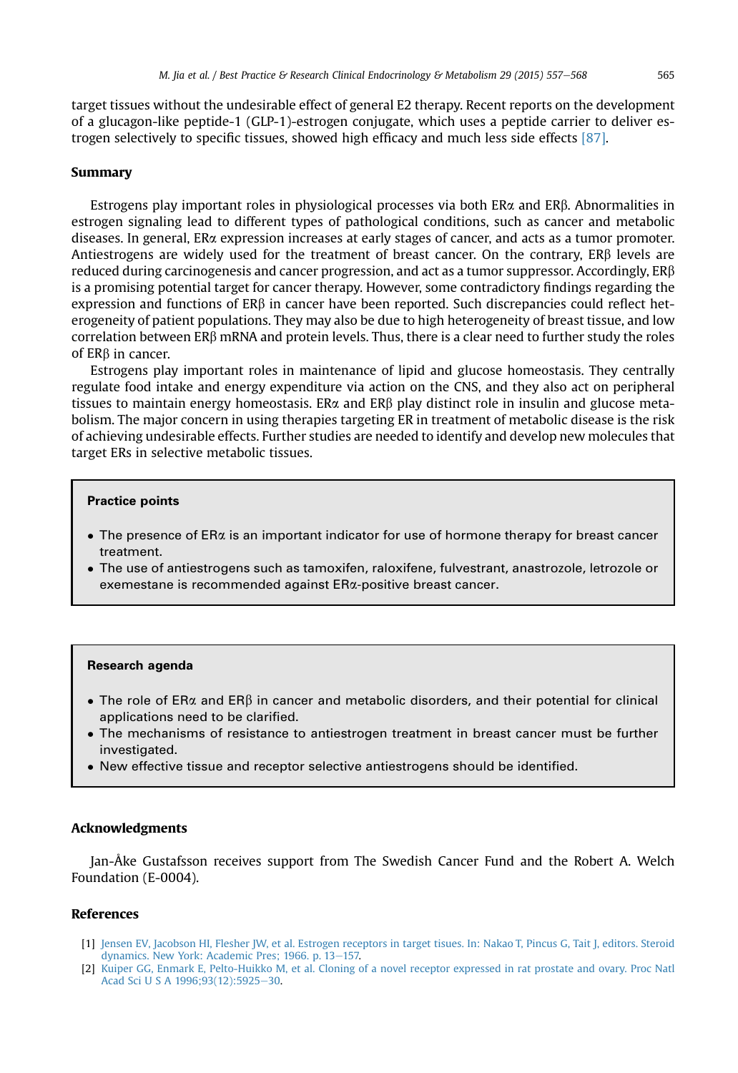<span id="page-8-0"></span>target tissues without the undesirable effect of general E2 therapy. Recent reports on the development of a glucagon-like peptide-1 (GLP-1)-estrogen conjugate, which uses a peptide carrier to deliver estrogen selectively to specific tissues, showed high efficacy and much less side effects [\[87\]](#page-11-0).

# Summary

Estrogens play important roles in physiological processes via both  $ER\alpha$  and  $ER\beta$ . Abnormalities in estrogen signaling lead to different types of pathological conditions, such as cancer and metabolic diseases. In general, ERa expression increases at early stages of cancer, and acts as a tumor promoter. Antiestrogens are widely used for the treatment of breast cancer. On the contrary,  $ER\beta$  levels are reduced during carcinogenesis and cancer progression, and act as a tumor suppressor. Accordingly, ERb is a promising potential target for cancer therapy. However, some contradictory findings regarding the expression and functions of ERb in cancer have been reported. Such discrepancies could reflect heterogeneity of patient populations. They may also be due to high heterogeneity of breast tissue, and low correlation between ERb mRNA and protein levels. Thus, there is a clear need to further study the roles of ERb in cancer.

Estrogens play important roles in maintenance of lipid and glucose homeostasis. They centrally regulate food intake and energy expenditure via action on the CNS, and they also act on peripheral tissues to maintain energy homeostasis. ER $\alpha$  and ER $\beta$  play distinct role in insulin and glucose metabolism. The major concern in using therapies targeting ER in treatment of metabolic disease is the risk of achieving undesirable effects. Further studies are needed to identify and develop new molecules that target ERs in selective metabolic tissues.

#### Practice points

- $\bullet$  The presence of ER $\alpha$  is an important indicator for use of hormone therapy for breast cancer treatment.
- The use of antiestrogens such as tamoxifen, raloxifene, fulvestrant, anastrozole, letrozole or exemestane is recommended against ERa-positive breast cancer.

#### Research agenda

- The role of ER $\alpha$  and ER $\beta$  in cancer and metabolic disorders, and their potential for clinical applications need to be clarified.
- The mechanisms of resistance to antiestrogen treatment in breast cancer must be further investigated.
- New effective tissue and receptor selective antiestrogens should be identified.

# Acknowledgments

Jan-Åke Gustafsson receives support from The Swedish Cancer Fund and the Robert A. Welch Foundation (E-0004).

## References

- [1] [Jensen EV, Jacobson HI, Flesher JW, et al. Estrogen receptors in target tisues. In: Nakao T, Pincus G, Tait J, editors. Steroid](http://refhub.elsevier.com/S1521-690X(15)00031-7/sref1) [dynamics. New York: Academic Pres; 1966. p. 13](http://refhub.elsevier.com/S1521-690X(15)00031-7/sref1)-[157.](http://refhub.elsevier.com/S1521-690X(15)00031-7/sref1)
- [2] [Kuiper GG, Enmark E, Pelto-Huikko M, et al. Cloning of a novel receptor expressed in rat prostate and ovary. Proc Natl](http://refhub.elsevier.com/S1521-690X(15)00031-7/sref2) [Acad Sci U S A 1996;93\(12\):5925](http://refhub.elsevier.com/S1521-690X(15)00031-7/sref2)-[30.](http://refhub.elsevier.com/S1521-690X(15)00031-7/sref2)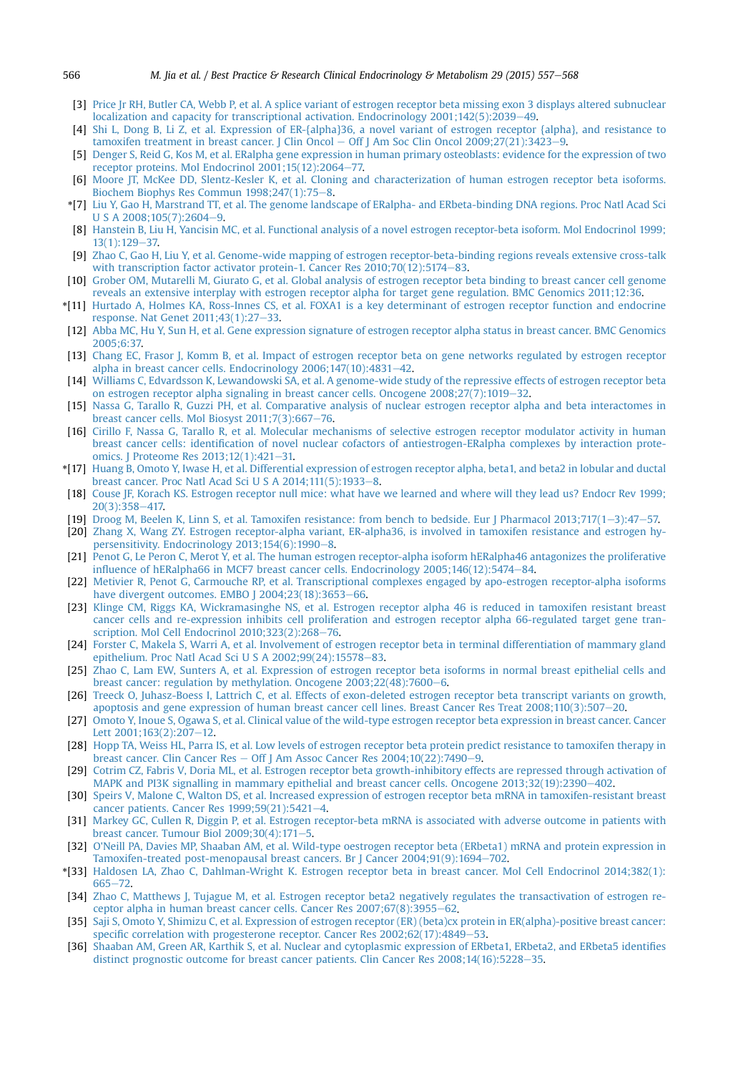- <span id="page-9-0"></span>[3] [Price Jr RH, Butler CA, Webb P, et al. A splice variant of estrogen receptor beta missing exon 3 displays altered subnuclear](http://refhub.elsevier.com/S1521-690X(15)00031-7/sref3) localization and capacity for transcriptional activation. Endocrinology  $2001;142(5);2039-49$  $2001;142(5);2039-49$ .
- [4] [Shi L, Dong B, Li Z, et al. Expression of ER-{alpha}36, a novel variant of estrogen receptor {alpha}, and resistance to](http://refhub.elsevier.com/S1521-690X(15)00031-7/sref4) [tamoxifen treatment in breast cancer. J Clin Oncol](http://refhub.elsevier.com/S1521-690X(15)00031-7/sref4)  $-$  [Off J Am Soc Clin Oncol 2009;27\(21\):3423](http://refhub.elsevier.com/S1521-690X(15)00031-7/sref4)-[9.](http://refhub.elsevier.com/S1521-690X(15)00031-7/sref4)
- [5] [Denger S, Reid G, Kos M, et al. ERalpha gene expression in human primary osteoblasts: evidence for the expression of two](http://refhub.elsevier.com/S1521-690X(15)00031-7/sref5) [receptor proteins. Mol Endocrinol 2001;15\(12\):2064](http://refhub.elsevier.com/S1521-690X(15)00031-7/sref5)-[77.](http://refhub.elsevier.com/S1521-690X(15)00031-7/sref5)
- [6] [Moore JT, McKee DD, Slentz-Kesler K, et al. Cloning and characterization of human estrogen receptor beta isoforms.](http://refhub.elsevier.com/S1521-690X(15)00031-7/sref6) [Biochem Biophys Res Commun 1998;247\(1\):75](http://refhub.elsevier.com/S1521-690X(15)00031-7/sref6)-[8.](http://refhub.elsevier.com/S1521-690X(15)00031-7/sref6)
- \*[7] [Liu Y, Gao H, Marstrand TT, et al. The genome landscape of ERalpha- and ERbeta-binding DNA regions. Proc Natl Acad Sci](http://refhub.elsevier.com/S1521-690X(15)00031-7/sref7)  $U$  S A 2008;105(7):2604-[9](http://refhub.elsevier.com/S1521-690X(15)00031-7/sref7).
- [8] [Hanstein B, Liu H, Yancisin MC, et al. Functional analysis of a novel estrogen receptor-beta isoform. Mol Endocrinol 1999;](http://refhub.elsevier.com/S1521-690X(15)00031-7/sref8) [13\(1\):129](http://refhub.elsevier.com/S1521-690X(15)00031-7/sref8)-[37.](http://refhub.elsevier.com/S1521-690X(15)00031-7/sref8)
- [9] [Zhao C, Gao H, Liu Y, et al. Genome-wide mapping of estrogen receptor-beta-binding regions reveals extensive cross-talk](http://refhub.elsevier.com/S1521-690X(15)00031-7/sref9) with transcription factor activator protein-1. Cancer Res  $2010;70(12):5174-83$  $2010;70(12):5174-83$ .
- [10] [Grober OM, Mutarelli M, Giurato G, et al. Global analysis of estrogen receptor beta binding to breast cancer cell genome](http://refhub.elsevier.com/S1521-690X(15)00031-7/sref10) [reveals an extensive interplay with estrogen receptor alpha for target gene regulation. BMC Genomics 2011;12:36.](http://refhub.elsevier.com/S1521-690X(15)00031-7/sref10)
- \*[11] [Hurtado A, Holmes KA, Ross-Innes CS, et al. FOXA1 is a key determinant of estrogen receptor function and endocrine](http://refhub.elsevier.com/S1521-690X(15)00031-7/sref11) [response. Nat Genet 2011;43\(1\):27](http://refhub.elsevier.com/S1521-690X(15)00031-7/sref11)-[33.](http://refhub.elsevier.com/S1521-690X(15)00031-7/sref11)
- [12] [Abba MC, Hu Y, Sun H, et al. Gene expression signature of estrogen receptor alpha status in breast cancer. BMC Genomics](http://refhub.elsevier.com/S1521-690X(15)00031-7/sref12) [2005;6:37.](http://refhub.elsevier.com/S1521-690X(15)00031-7/sref12)
- [13] [Chang EC, Frasor J, Komm B, et al. Impact of estrogen receptor beta on gene networks regulated by estrogen receptor](http://refhub.elsevier.com/S1521-690X(15)00031-7/sref13) alpha in breast cancer cells. Endocrinology  $2006;147(10):4831-42$  $2006;147(10):4831-42$ .
- [14] [Williams C, Edvardsson K, Lewandowski SA, et al. A genome-wide study of the repressive effects of estrogen receptor beta](http://refhub.elsevier.com/S1521-690X(15)00031-7/sref14) on estrogen receptor alpha signaling in breast cancer cells. Oncogene  $2008:27(7):1019-32$  $2008:27(7):1019-32$ .
- [15] [Nassa G, Tarallo R, Guzzi PH, et al. Comparative analysis of nuclear estrogen receptor alpha and beta interactomes in](http://refhub.elsevier.com/S1521-690X(15)00031-7/sref15) breast cancer cells. Mol Biosyst  $2011;7(3):667-76$ .
- [16] [Cirillo F, Nassa G, Tarallo R, et al. Molecular mechanisms of selective estrogen receptor modulator activity in human](http://refhub.elsevier.com/S1521-690X(15)00031-7/sref16) breast cancer cells: identifi[cation of novel nuclear cofactors of antiestrogen-ERalpha complexes by interaction prote](http://refhub.elsevier.com/S1521-690X(15)00031-7/sref16)[omics. J Proteome Res 2013;12\(1\):421](http://refhub.elsevier.com/S1521-690X(15)00031-7/sref16)-[31.](http://refhub.elsevier.com/S1521-690X(15)00031-7/sref16)
- \*[17] [Huang B, Omoto Y, Iwase H, et al. Differential expression of estrogen receptor alpha, beta1, and beta2 in lobular and ductal](http://refhub.elsevier.com/S1521-690X(15)00031-7/sref17) breast cancer. Proc Natl Acad Sci U S A  $2014;111(5):1933-8$  $2014;111(5):1933-8$ .
- [18] [Couse JF, Korach KS. Estrogen receptor null mice: what have we learned and where will they lead us? Endocr Rev 1999;](http://refhub.elsevier.com/S1521-690X(15)00031-7/sref18) [20\(3\):358](http://refhub.elsevier.com/S1521-690X(15)00031-7/sref18)-[417.](http://refhub.elsevier.com/S1521-690X(15)00031-7/sref18)
- [19] [Droog M, Beelen K, Linn S, et al. Tamoxifen resistance: from bench to bedside. Eur J Pharmacol 2013;717\(1](http://refhub.elsevier.com/S1521-690X(15)00031-7/sref19)-[3\):47](http://refhub.elsevier.com/S1521-690X(15)00031-7/sref19)-[57.](http://refhub.elsevier.com/S1521-690X(15)00031-7/sref19)
- [20] [Zhang X, Wang ZY. Estrogen receptor-alpha variant, ER-alpha36, is involved in tamoxifen resistance and estrogen hy](http://refhub.elsevier.com/S1521-690X(15)00031-7/sref20)persensitivity. Endocrinology  $2013;154(6):1990-8$ .
- [21] [Penot G, Le Peron C, Merot Y, et al. The human estrogen receptor-alpha isoform hERalpha46 antagonizes the proliferative](http://refhub.elsevier.com/S1521-690X(15)00031-7/sref21) infl[uence of hERalpha66 in MCF7 breast cancer cells. Endocrinology 2005;146\(12\):5474](http://refhub.elsevier.com/S1521-690X(15)00031-7/sref21)-[84.](http://refhub.elsevier.com/S1521-690X(15)00031-7/sref21)
- [22] [Metivier R, Penot G, Carmouche RP, et al. Transcriptional complexes engaged by apo-estrogen receptor-alpha isoforms](http://refhub.elsevier.com/S1521-690X(15)00031-7/sref22) have divergent outcomes. EMBO  $[2004;23(18):3653-66]$ .
- [23] [Klinge CM, Riggs KA, Wickramasinghe NS, et al. Estrogen receptor alpha 46 is reduced in tamoxifen resistant breast](http://refhub.elsevier.com/S1521-690X(15)00031-7/sref23) [cancer cells and re-expression inhibits cell proliferation and estrogen receptor alpha 66-regulated target gene tran](http://refhub.elsevier.com/S1521-690X(15)00031-7/sref23)scription. Mol Cell Endocrinol  $2010;323(2):268-76$ .
- [24] [Forster C, Makela S, Warri A, et al. Involvement of estrogen receptor beta in terminal differentiation of mammary gland](http://refhub.elsevier.com/S1521-690X(15)00031-7/sref24) [epithelium. Proc Natl Acad Sci U S A 2002;99\(24\):15578](http://refhub.elsevier.com/S1521-690X(15)00031-7/sref24)-[83](http://refhub.elsevier.com/S1521-690X(15)00031-7/sref24).
- [25] [Zhao C, Lam EW, Sunters A, et al. Expression of estrogen receptor beta isoforms in normal breast epithelial cells and](http://refhub.elsevier.com/S1521-690X(15)00031-7/sref25) breast cancer: regulation by methylation. Oncogene  $2003;22(48);7600-6$  $2003;22(48);7600-6$  $2003;22(48);7600-6$ .
- [26] [Treeck O, Juhasz-Boess I, Lattrich C, et al. Effects of exon-deleted estrogen receptor beta transcript variants on growth,](http://refhub.elsevier.com/S1521-690X(15)00031-7/sref26) [apoptosis and gene expression of human breast cancer cell lines. Breast Cancer Res Treat 2008;110\(3\):507](http://refhub.elsevier.com/S1521-690X(15)00031-7/sref26)-[20](http://refhub.elsevier.com/S1521-690X(15)00031-7/sref26).
- [27] [Omoto Y, Inoue S, Ogawa S, et al. Clinical value of the wild-type estrogen receptor beta expression in breast cancer. Cancer](http://refhub.elsevier.com/S1521-690X(15)00031-7/sref27) [Lett 2001;163\(2\):207](http://refhub.elsevier.com/S1521-690X(15)00031-7/sref27)-[12](http://refhub.elsevier.com/S1521-690X(15)00031-7/sref27).
- [28] [Hopp TA, Weiss HL, Parra IS, et al. Low levels of estrogen receptor beta protein predict resistance to tamoxifen therapy in](http://refhub.elsevier.com/S1521-690X(15)00031-7/sref28) [breast cancer. Clin Cancer Res](http://refhub.elsevier.com/S1521-690X(15)00031-7/sref28)  $-$  [Off J Am Assoc Cancer Res 2004;10\(22\):7490](http://refhub.elsevier.com/S1521-690X(15)00031-7/sref28) $-9$  $-9$ .
- [29] [Cotrim CZ, Fabris V, Doria ML, et al. Estrogen receptor beta growth-inhibitory effects are repressed through activation of](http://refhub.elsevier.com/S1521-690X(15)00031-7/sref29) [MAPK and PI3K signalling in mammary epithelial and breast cancer cells. Oncogene 2013;32\(19\):2390](http://refhub.elsevier.com/S1521-690X(15)00031-7/sref29)-[402.](http://refhub.elsevier.com/S1521-690X(15)00031-7/sref29)
- [30] [Speirs V, Malone C, Walton DS, et al. Increased expression of estrogen receptor beta mRNA in tamoxifen-resistant breast](http://refhub.elsevier.com/S1521-690X(15)00031-7/sref30) cancer patients. Cancer Res  $1999;59(21):5421-4$ .
- [31] [Markey GC, Cullen R, Diggin P, et al. Estrogen receptor-beta mRNA is associated with adverse outcome in patients with](http://refhub.elsevier.com/S1521-690X(15)00031-7/sref31) breast cancer. Tumour Biol  $2009;30(4):171-5$ .
- [32] [O'Neill PA, Davies MP, Shaaban AM, et al. Wild-type oestrogen receptor beta \(ERbeta1\) mRNA and protein expression in](http://refhub.elsevier.com/S1521-690X(15)00031-7/sref32) Tamoxifen-treated post-menopausal breast cancers. Br J Cancer  $2004:91(9):1694-702$ .
- \*[33] [Haldosen LA, Zhao C, Dahlman-Wright K. Estrogen receptor beta in breast cancer. Mol Cell Endocrinol 2014;382\(1\):](http://refhub.elsevier.com/S1521-690X(15)00031-7/sref33) [665](http://refhub.elsevier.com/S1521-690X(15)00031-7/sref33)e[72.](http://refhub.elsevier.com/S1521-690X(15)00031-7/sref33)
- [34] [Zhao C, Matthews J, Tujague M, et al. Estrogen receptor beta2 negatively regulates the transactivation of estrogen re](http://refhub.elsevier.com/S1521-690X(15)00031-7/sref34)ceptor alpha in human breast cancer cells. Cancer Res  $2007;67(8);3955-62$ .
- [35] [Saji S, Omoto Y, Shimizu C, et al. Expression of estrogen receptor \(ER\) \(beta\)cx protein in ER\(alpha\)-positive breast cancer:](http://refhub.elsevier.com/S1521-690X(15)00031-7/sref35) specifi[c correlation with progesterone receptor. Cancer Res 2002;62\(17\):4849](http://refhub.elsevier.com/S1521-690X(15)00031-7/sref35)-[53](http://refhub.elsevier.com/S1521-690X(15)00031-7/sref35).
- [36] [Shaaban AM, Green AR, Karthik S, et al. Nuclear and cytoplasmic expression of ERbeta1, ERbeta2, and ERbeta5 identi](http://refhub.elsevier.com/S1521-690X(15)00031-7/sref36)fies [distinct prognostic outcome for breast cancer patients. Clin Cancer Res 2008;14\(16\):5228](http://refhub.elsevier.com/S1521-690X(15)00031-7/sref36)-[35.](http://refhub.elsevier.com/S1521-690X(15)00031-7/sref36)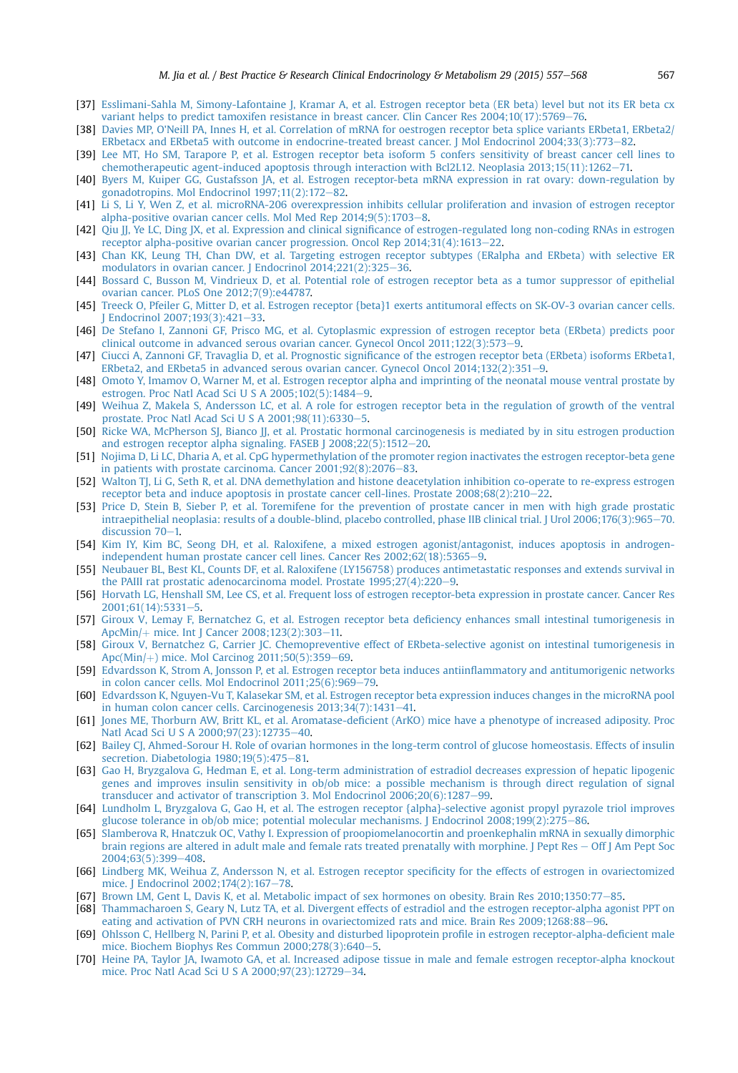- <span id="page-10-0"></span>[37] [Esslimani-Sahla M, Simony-Lafontaine J, Kramar A, et al. Estrogen receptor beta \(ER beta\) level but not its ER beta cx](http://refhub.elsevier.com/S1521-690X(15)00031-7/sref37) [variant helps to predict tamoxifen resistance in breast cancer. Clin Cancer Res 2004;10\(17\):5769](http://refhub.elsevier.com/S1521-690X(15)00031-7/sref37)-[76.](http://refhub.elsevier.com/S1521-690X(15)00031-7/sref37)
- [38] [Davies MP, O'Neill PA, Innes H, et al. Correlation of mRNA for oestrogen receptor beta splice variants ERbeta1, ERbeta2/](http://refhub.elsevier.com/S1521-690X(15)00031-7/sref38) ERbetacx and ERbeta5 with outcome in endocrine-treated breast cancer. J Mol Endocrinol 2004:33(3):773-[82.](http://refhub.elsevier.com/S1521-690X(15)00031-7/sref38)
- [39] [Lee MT, Ho SM, Tarapore P, et al. Estrogen receptor beta isoform 5 confers sensitivity of breast cancer cell lines to](http://refhub.elsevier.com/S1521-690X(15)00031-7/sref39) [chemotherapeutic agent-induced apoptosis through interaction with Bcl2L12. Neoplasia 2013;15\(11\):1262](http://refhub.elsevier.com/S1521-690X(15)00031-7/sref39)-[71.](http://refhub.elsevier.com/S1521-690X(15)00031-7/sref39)
- [40] [Byers M, Kuiper GG, Gustafsson JA, et al. Estrogen receptor-beta mRNA expression in rat ovary: down-regulation by](http://refhub.elsevier.com/S1521-690X(15)00031-7/sref40) gonadotropins. Mol Endocrinol  $1997;11(2):172-82$  $1997;11(2):172-82$ .
- [41] [Li S, Li Y, Wen Z, et al. microRNA-206 overexpression inhibits cellular proliferation and invasion of estrogen receptor](http://refhub.elsevier.com/S1521-690X(15)00031-7/sref41) [alpha-positive ovarian cancer cells. Mol Med Rep 2014;9\(5\):1703](http://refhub.elsevier.com/S1521-690X(15)00031-7/sref41)-[8](http://refhub.elsevier.com/S1521-690X(15)00031-7/sref41).
- [42] Qiu JJ, Ye LC, Ding JX, et al. Expression and clinical signifi[cance of estrogen-regulated long non-coding RNAs in estrogen](http://refhub.elsevier.com/S1521-690X(15)00031-7/sref42) receptor alpha-positive ovarian cancer progression. Oncol Rep  $2014;31(4):1613-22$  $2014;31(4):1613-22$ .
- [43] [Chan KK, Leung TH, Chan DW, et al. Targeting estrogen receptor subtypes \(ERalpha and ERbeta\) with selective ER](http://refhub.elsevier.com/S1521-690X(15)00031-7/sref43) modulators in ovarian cancer. J Endocrinol  $2014;221(2):325-36$  $2014;221(2):325-36$ .
- [44] [Bossard C, Busson M, Vindrieux D, et al. Potential role of estrogen receptor beta as a tumor suppressor of epithelial](http://refhub.elsevier.com/S1521-690X(15)00031-7/sref44) [ovarian cancer. PLoS One 2012;7\(9\):e44787.](http://refhub.elsevier.com/S1521-690X(15)00031-7/sref44)
- [45] [Treeck O, Pfeiler G, Mitter D, et al. Estrogen receptor {beta}1 exerts antitumoral effects on SK-OV-3 ovarian cancer cells.](http://refhub.elsevier.com/S1521-690X(15)00031-7/sref45) [J Endocrinol 2007;193\(3\):421](http://refhub.elsevier.com/S1521-690X(15)00031-7/sref45)-[33.](http://refhub.elsevier.com/S1521-690X(15)00031-7/sref45)
- [46] [De Stefano I, Zannoni GF, Prisco MG, et al. Cytoplasmic expression of estrogen receptor beta \(ERbeta\) predicts poor](http://refhub.elsevier.com/S1521-690X(15)00031-7/sref46) clinical outcome in advanced serous ovarian cancer. Gynecol Oncol  $2011;122(3):573-9$  $2011;122(3):573-9$ .
- [47] Ciucci A, Zannoni GF, Travaglia D, et al. Prognostic signifi[cance of the estrogen receptor beta \(ERbeta\) isoforms ERbeta1,](http://refhub.elsevier.com/S1521-690X(15)00031-7/sref47) [ERbeta2, and ERbeta5 in advanced serous ovarian cancer. Gynecol Oncol 2014;132\(2\):351](http://refhub.elsevier.com/S1521-690X(15)00031-7/sref47)-[9.](http://refhub.elsevier.com/S1521-690X(15)00031-7/sref47)
- [48] [Omoto Y, Imamov O, Warner M, et al. Estrogen receptor alpha and imprinting of the neonatal mouse ventral prostate by](http://refhub.elsevier.com/S1521-690X(15)00031-7/sref48) [estrogen. Proc Natl Acad Sci U S A 2005;102\(5\):1484](http://refhub.elsevier.com/S1521-690X(15)00031-7/sref48)-[9.](http://refhub.elsevier.com/S1521-690X(15)00031-7/sref48)
- [49] [Weihua Z, Makela S, Andersson LC, et al. A role for estrogen receptor beta in the regulation of growth of the ventral](http://refhub.elsevier.com/S1521-690X(15)00031-7/sref49) prostate. Proc Natl Acad Sci U S A  $2001:98(11):6330-5$ .
- [50] [Ricke WA, McPherson SJ, Bianco JJ, et al. Prostatic hormonal carcinogenesis is mediated by in situ estrogen production](http://refhub.elsevier.com/S1521-690X(15)00031-7/sref50) and estrogen receptor alpha signaling. FASEB  $1\,2008:22(5):1512-20$  $1\,2008:22(5):1512-20$  $1\,2008:22(5):1512-20$ .
- [51] [Nojima D, Li LC, Dharia A, et al. CpG hypermethylation of the promoter region inactivates the estrogen receptor-beta gene](http://refhub.elsevier.com/S1521-690X(15)00031-7/sref51) in patients with prostate carcinoma. Cancer  $2001;92(8):2076-83$  $2001;92(8):2076-83$ .
- [52] [Walton TJ, Li G, Seth R, et al. DNA demethylation and histone deacetylation inhibition co-operate to re-express estrogen](http://refhub.elsevier.com/S1521-690X(15)00031-7/sref52) receptor beta and induce apoptosis in prostate cancer cell-lines. Prostate  $2008;68(2):210-22$ .
- [53] [Price D, Stein B, Sieber P, et al. Toremifene for the prevention of prostate cancer in men with high grade prostatic](http://refhub.elsevier.com/S1521-690X(15)00031-7/sref53) [intraepithelial neoplasia: results of a double-blind, placebo controlled, phase IIB clinical trial. J Urol 2006;176\(3\):965](http://refhub.elsevier.com/S1521-690X(15)00031-7/sref53)-[70.](http://refhub.elsevier.com/S1521-690X(15)00031-7/sref53) discussion  $70-1$ .
- [54] [Kim IY, Kim BC, Seong DH, et al. Raloxifene, a mixed estrogen agonist/antagonist, induces apoptosis in androgen](http://refhub.elsevier.com/S1521-690X(15)00031-7/sref54)[independent human prostate cancer cell lines. Cancer Res 2002;62\(18\):5365](http://refhub.elsevier.com/S1521-690X(15)00031-7/sref54)-[9.](http://refhub.elsevier.com/S1521-690X(15)00031-7/sref54)
- [55] [Neubauer BL, Best KL, Counts DF, et al. Raloxifene \(LY156758\) produces antimetastatic responses and extends survival in](http://refhub.elsevier.com/S1521-690X(15)00031-7/sref55) the PAIII rat prostatic adenocarcinoma model. Prostate  $1995;27(4):220-9$  $1995;27(4):220-9$  $1995;27(4):220-9$ .
- [56] [Horvath LG, Henshall SM, Lee CS, et al. Frequent loss of estrogen receptor-beta expression in prostate cancer. Cancer Res](http://refhub.elsevier.com/S1521-690X(15)00031-7/sref56)  $2001;61(14):5331-5.$  $2001;61(14):5331-5.$  $2001;61(14):5331-5.$
- [57] [Giroux V, Lemay F, Bernatchez G, et al. Estrogen receptor beta de](http://refhub.elsevier.com/S1521-690X(15)00031-7/sref57)ficiency enhances small intestinal tumorigenesis in [ApcMin/](http://refhub.elsevier.com/S1521-690X(15)00031-7/sref57) $+$  [mice. Int J Cancer 2008;123\(2\):303](http://refhub.elsevier.com/S1521-690X(15)00031-7/sref57)-[11.](http://refhub.elsevier.com/S1521-690X(15)00031-7/sref57)
- [58] [Giroux V, Bernatchez G, Carrier JC. Chemopreventive effect of ERbeta-selective agonist on intestinal tumorigenesis in](http://refhub.elsevier.com/S1521-690X(15)00031-7/sref58) Apc( $Min$  $+$ [\) mice. Mol Carcinog 2011;50\(5\):359](http://refhub.elsevier.com/S1521-690X(15)00031-7/sref58)–[69](http://refhub.elsevier.com/S1521-690X(15)00031-7/sref58).
- [59] [Edvardsson K, Strom A, Jonsson P, et al. Estrogen receptor beta induces antiin](http://refhub.elsevier.com/S1521-690X(15)00031-7/sref59)flammatory and antitumorigenic networks in colon cancer cells. Mol Endocrinol  $2011;25(6):969-79$  $2011;25(6):969-79$ .
- [60] [Edvardsson K, Nguyen-Vu T, Kalasekar SM, et al. Estrogen receptor beta expression induces changes in the microRNA pool](http://refhub.elsevier.com/S1521-690X(15)00031-7/sref60) in human colon cancer cells. Carcinogenesis  $2013;34(7):1431-41$ .
- [61] Jones ME, Thorburn AW, Britt KL, et al. Aromatase-defi[cient \(ArKO\) mice have a phenotype of increased adiposity. Proc](http://refhub.elsevier.com/S1521-690X(15)00031-7/sref61) [Natl Acad Sci U S A 2000;97\(23\):12735](http://refhub.elsevier.com/S1521-690X(15)00031-7/sref61)-[40.](http://refhub.elsevier.com/S1521-690X(15)00031-7/sref61)
- [62] [Bailey CJ, Ahmed-Sorour H. Role of ovarian hormones in the long-term control of glucose homeostasis. Effects of insulin](http://refhub.elsevier.com/S1521-690X(15)00031-7/sref62) secretion. Diabetologia  $1980;19(5):475-81$ .
- [63] [Gao H, Bryzgalova G, Hedman E, et al. Long-term administration of estradiol decreases expression of hepatic lipogenic](http://refhub.elsevier.com/S1521-690X(15)00031-7/sref63) [genes and improves insulin sensitivity in ob/ob mice: a possible mechanism is through direct regulation of signal](http://refhub.elsevier.com/S1521-690X(15)00031-7/sref63) [transducer and activator of transcription 3. Mol Endocrinol 2006;20\(6\):1287](http://refhub.elsevier.com/S1521-690X(15)00031-7/sref63)-[99.](http://refhub.elsevier.com/S1521-690X(15)00031-7/sref63)
- [64] [Lundholm L, Bryzgalova G, Gao H, et al. The estrogen receptor {alpha}-selective agonist propyl pyrazole triol improves](http://refhub.elsevier.com/S1521-690X(15)00031-7/sref64) [glucose tolerance in ob/ob mice; potential molecular mechanisms. J Endocrinol 2008;199\(2\):275](http://refhub.elsevier.com/S1521-690X(15)00031-7/sref64)–[86](http://refhub.elsevier.com/S1521-690X(15)00031-7/sref64).
- [65] [Slamberova R, Hnatczuk OC, Vathy I. Expression of proopiomelanocortin and proenkephalin mRNA in sexually dimorphic](http://refhub.elsevier.com/S1521-690X(15)00031-7/sref65) [brain regions are altered in adult male and female rats treated prenatally with morphine. J Pept Res](http://refhub.elsevier.com/S1521-690X(15)00031-7/sref65) - [Off J Am Pept Soc](http://refhub.elsevier.com/S1521-690X(15)00031-7/sref65) 2004:63(5):399-[408.](http://refhub.elsevier.com/S1521-690X(15)00031-7/sref65)
- [66] [Lindberg MK, Weihua Z, Andersson N, et al. Estrogen receptor speci](http://refhub.elsevier.com/S1521-690X(15)00031-7/sref66)ficity for the effects of estrogen in ovariectomized [mice. J Endocrinol 2002;174\(2\):167](http://refhub.elsevier.com/S1521-690X(15)00031-7/sref66)-[78](http://refhub.elsevier.com/S1521-690X(15)00031-7/sref66).
- [67] [Brown LM, Gent L, Davis K, et al. Metabolic impact of sex hormones on obesity. Brain Res 2010;1350:77](http://refhub.elsevier.com/S1521-690X(15)00031-7/sref67)-[85.](http://refhub.elsevier.com/S1521-690X(15)00031-7/sref67)
- [68] [Thammacharoen S, Geary N, Lutz TA, et al. Divergent effects of estradiol and the estrogen receptor-alpha agonist PPT on](http://refhub.elsevier.com/S1521-690X(15)00031-7/sref68) [eating and activation of PVN CRH neurons in ovariectomized rats and mice. Brain Res 2009;1268:88](http://refhub.elsevier.com/S1521-690X(15)00031-7/sref68)-[96.](http://refhub.elsevier.com/S1521-690X(15)00031-7/sref68)
- [69] [Ohlsson C, Hellberg N, Parini P, et al. Obesity and disturbed lipoprotein pro](http://refhub.elsevier.com/S1521-690X(15)00031-7/sref69)file in estrogen receptor-alpha-deficient male mice. Biochem Biophys Res Commun  $2000;278(3);640-5$  $2000;278(3);640-5$ .
- [70] [Heine PA, Taylor JA, Iwamoto GA, et al. Increased adipose tissue in male and female estrogen receptor-alpha knockout](http://refhub.elsevier.com/S1521-690X(15)00031-7/sref70) [mice. Proc Natl Acad Sci U S A 2000;97\(23\):12729](http://refhub.elsevier.com/S1521-690X(15)00031-7/sref70)-[34.](http://refhub.elsevier.com/S1521-690X(15)00031-7/sref70)